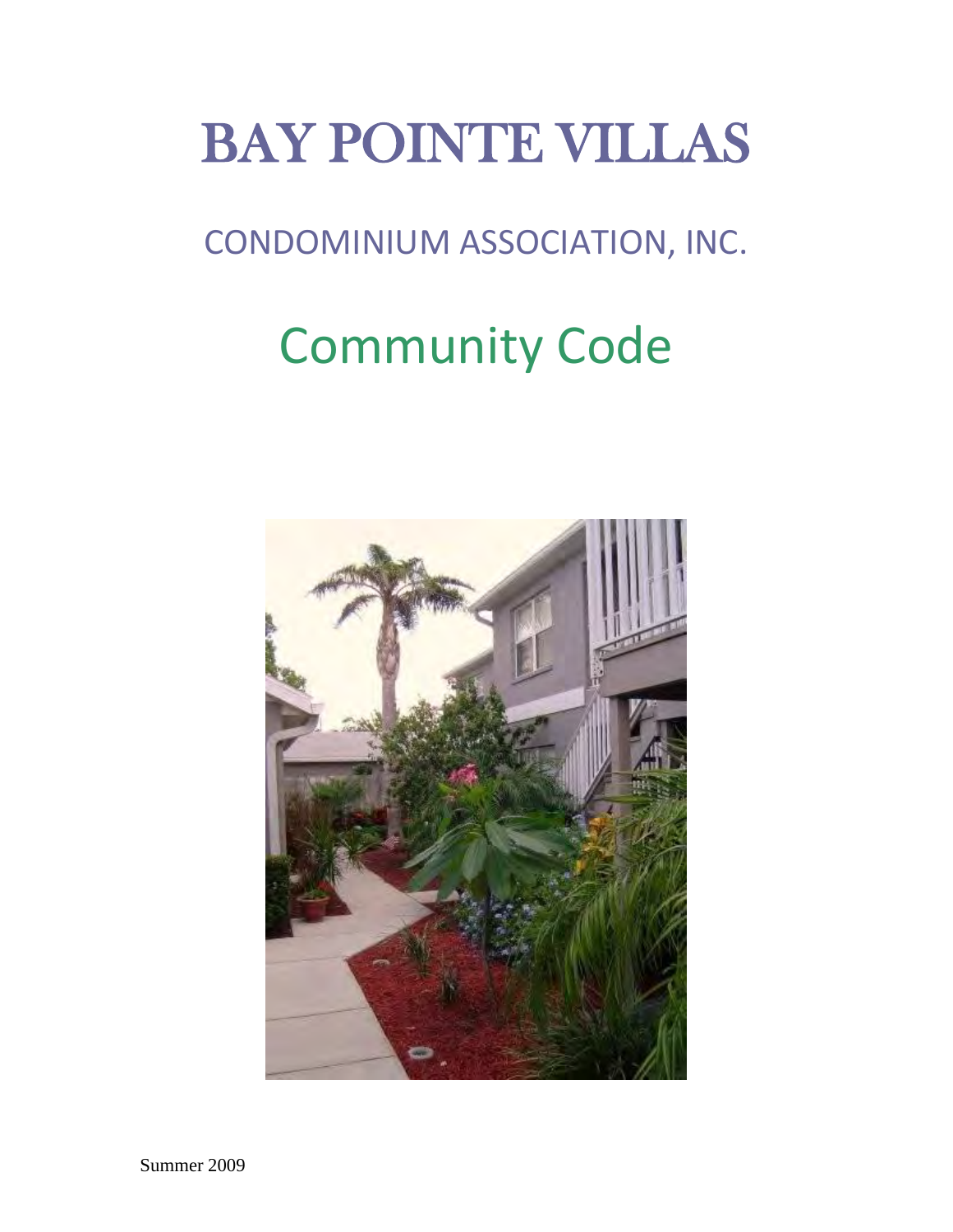# BAY POINTE VILLAS

## CONDOMINIUM ASSOCIATION, INC.

## Community Code

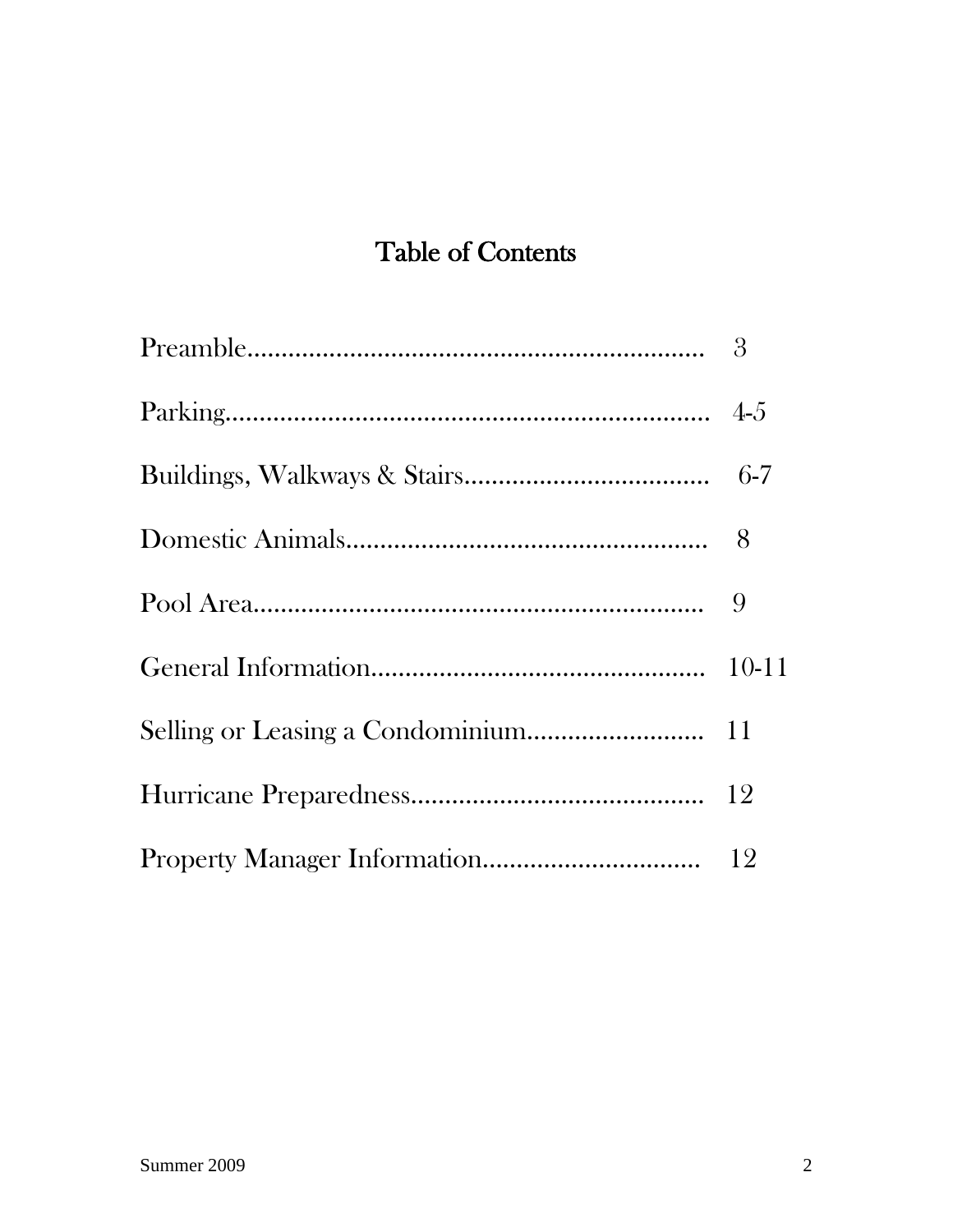### Table of Contents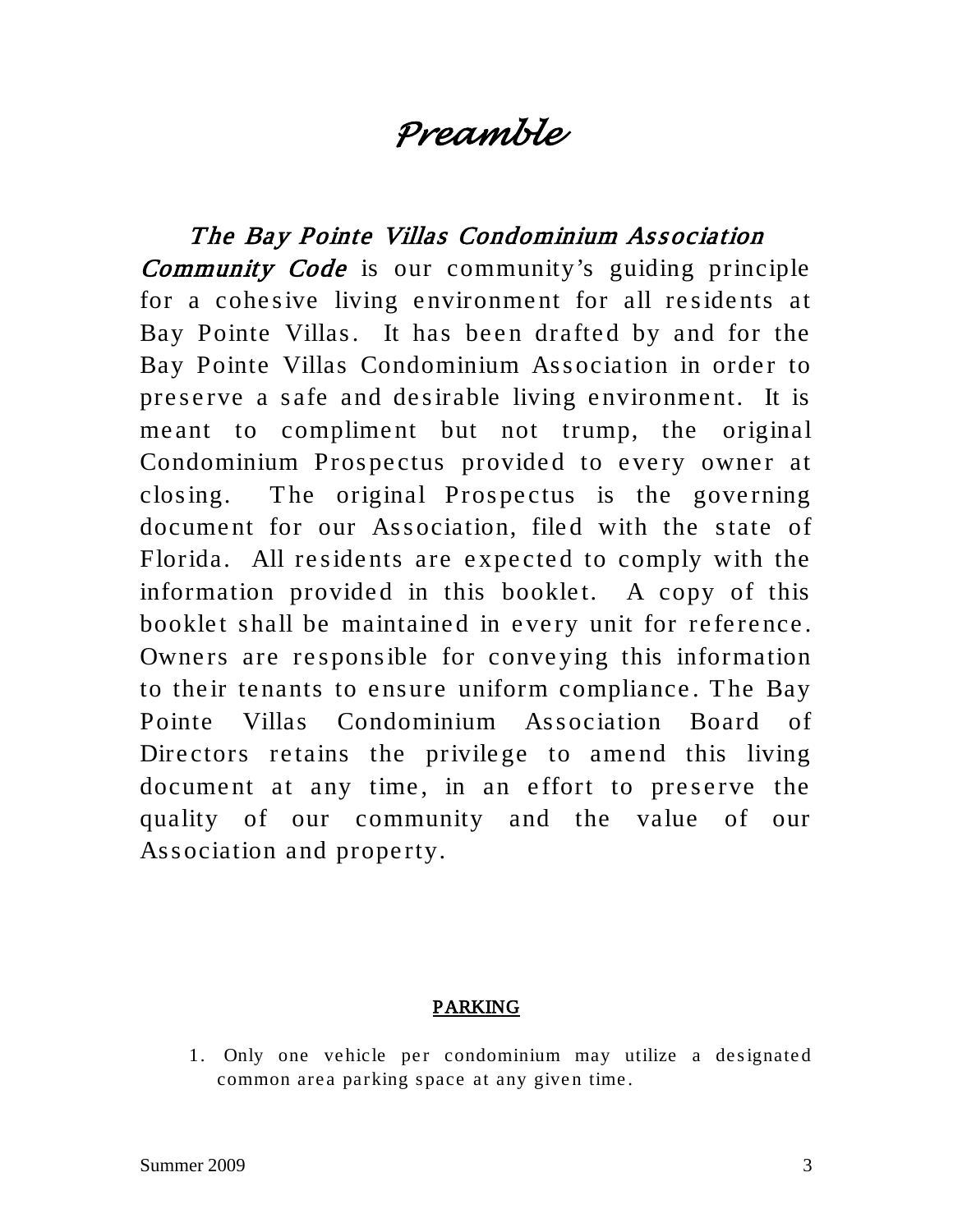### *Preamble*

The Bay Pointe Villas Condominium Association Community Code is our community's guiding principle for a cohesive living environment for all residents at Bay Pointe Villas. It has been drafted by and for the Bay Pointe Villas Condominium Association in order to preserve a safe and desirable living environment. It is me ant to complime nt but not trump, the original Condominium Prospectus provided to every owner at closing. The original Prospectus is the governing document for our Association, filed with the state of Florida. All residents are expected to comply with the information provided in this booklet. A copy of this booklet shall be maintained in every unit for reference. Owners are responsible for conveying this information to their tenants to ensure uniform compliance. The Bay Pointe Villas Condominium Association Board of Directors retains the privilege to amend this living document at any time, in an effort to preserve the quality of our community and the value of our Association and property.

#### PARKING

1. Only one vehicle per condominium may utilize a designated common area parking space at any given time.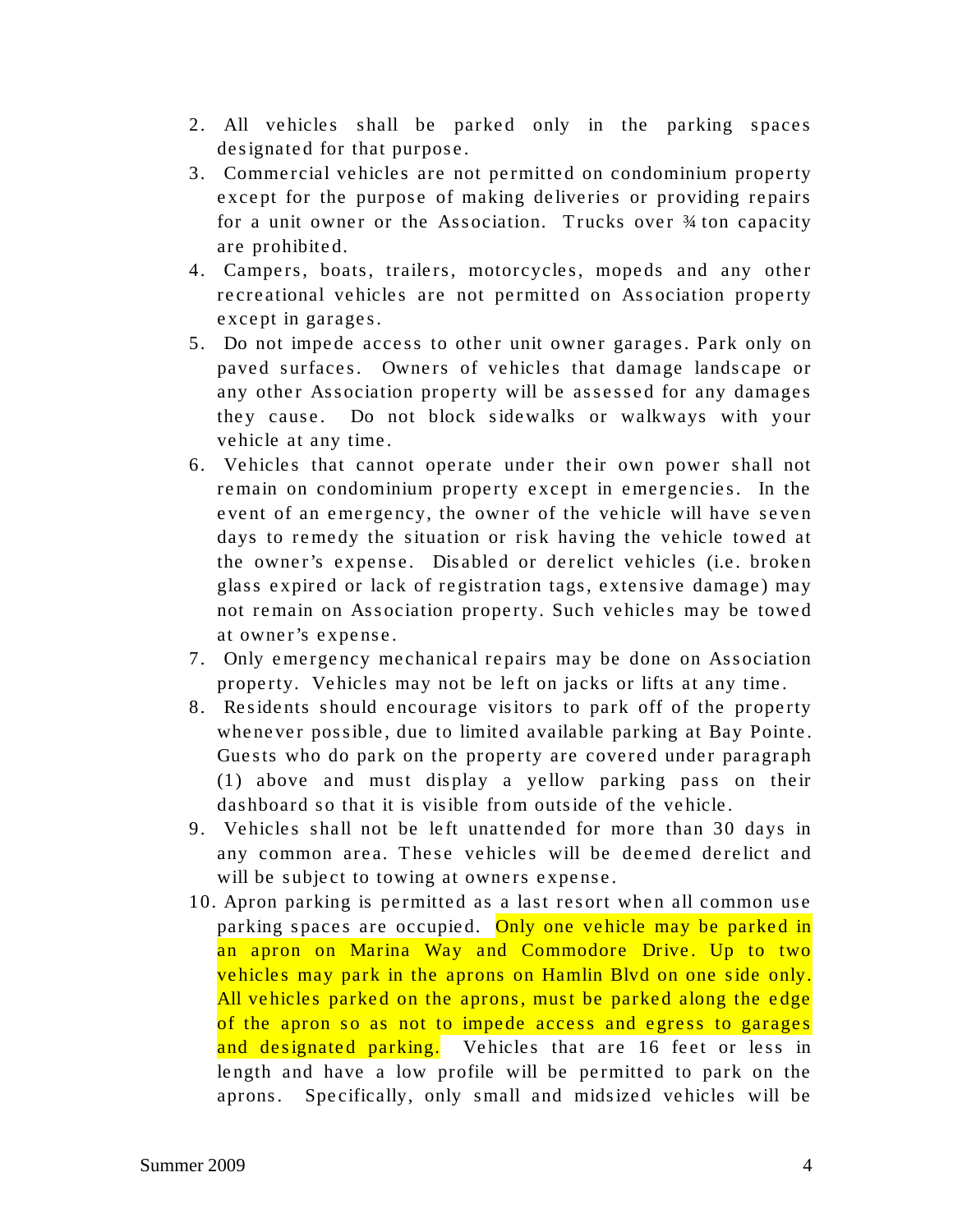- 2. All vehicles shall be parked only in the parking spaces designated for that purpose.
- 3. Commercial vehicles are not permitted on condominium property except for the purpose of making deliveries or providing repairs for a unit owner or the Association. Trucks over  $\frac{3}{4}$  ton capacity are prohibited.
- 4. Campers, boats, trailers, motorcycles, mopeds and any other recreational vehicles are not permitted on Association property except in garages.
- 5. Do not impede access to other unit owner garages. Park only on paved surfaces. Owners of vehicles that damage landscape or any other Association property will be as sessed for any damages they cause. Do not block sidewalks or walkways with your vehicle at any time.
- 6. Vehicles that cannot operate under their own power shall not remain on condominium property except in emergencies. In the event of an emergency, the owner of the vehicle will have se ven days to remedy the situation or risk having the vehicle towed at the owner's expense. Disabled or derelict vehicles (i.e. broken glass expired or lack of registration tags, extensive damage) may not remain on Association property. Such vehicles may be towed at owner's expense.
- 7. Only emergency mechanical repairs may be done on Association property. Vehicles may not be left on jacks or lifts at any time.
- 8. Residents should encourage visitors to park off of the property whene ver possible, due to limited available parking at Bay Pointe. Guests who do park on the property are covered under paragraph  $(1)$  above and must display a yellow parking pass on their dashboard so that it is visible from outside of the vehicle .
- 9. Vehicles shall not be left unattended for more than 30 days in any common area. These vehicles will be deemed derelict and will be subject to towing at owners expense.
- 10. Apron parking is permitted as a last resort when all common use parking spaces are occupied. Only one vehicle may be parked in an apron on Marina Way and Commodore Drive. Up to two vehicles may park in the aprons on Hamlin Blvd on one side only. All vehicles parked on the aprons, must be parked along the edge of the apron so as not to impede access and egress to garages and designated parking. Vehicles that are 16 feet or less in length and have a low profile will be permitted to park on the aprons. Specifically, only small and midsized vehicles will be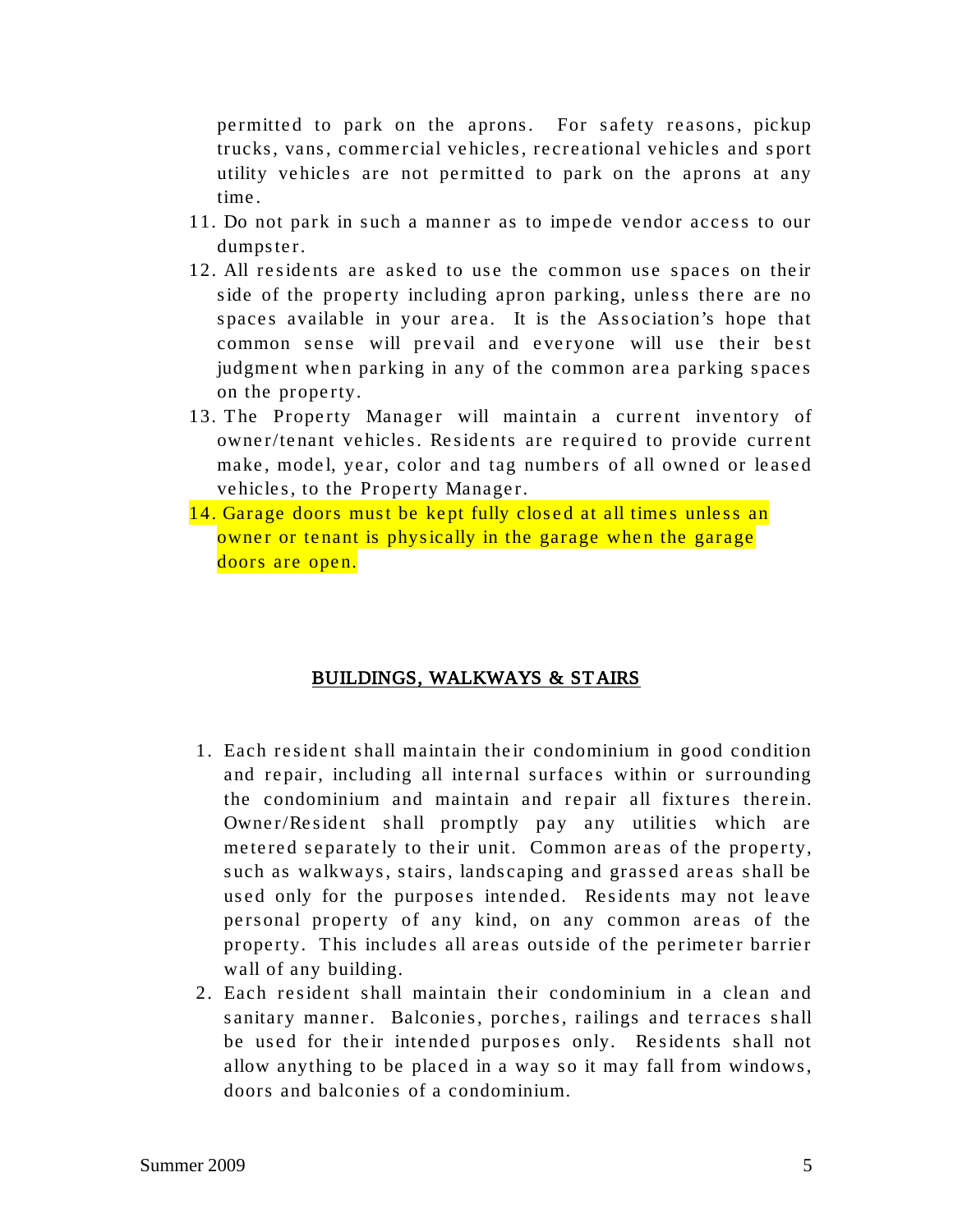permitted to park on the aprons. For safety reasons, pickup trucks, vans, commercial vehicles, recreational vehicles and s port utility vehicles are not permitted to park on the aprons at any time.

- 11. Do not park in such a manner as to impede vendor access to our dumpster.
- 12. All residents are asked to use the common use spaces on their side of the property including apron parking, unless there are no spaces available in your area. It is the Association's hope that common sense will prevail and everyone will use their best judgment when parking in any of the common area parking spaces on the property.
- 13. The Property Manager will maintain a current inventory of owner/tenant vehicles. Residents are required to provide current make, model, year, color and tag numbers of all owned or leased vehicles, to the Property Manager.
- 14. Garage doors must be kept fully closed at all times unless an owner or tenant is physically in the garage when the garage doors are open.

#### BUILDINGS, WALKWAYS & STAIRS

- 1. Each resident shall maintain their condominium in good condition and repair, including all internal surfaces within or surrounding the condominium and maintain and repair all fixtures therein. Owner/Resident shall promptly pay any utilities which are metered separately to their unit. Common areas of the property, such as walkways, stairs, landscaping and grassed areas shall be used only for the purposes intended. Residents may not leave personal property of any kind, on any common areas of the property. This includes all areas outside of the perimeter barrier wall of any building.
- 2. Each resident shall maintain their condominium in a clean and sanitary manner. Balconies, porches, railings and terraces shall be used for their intended purposes only. Residents shall not allow anything to be placed in a way so it may fall from windows, doors and balconies of a condominium.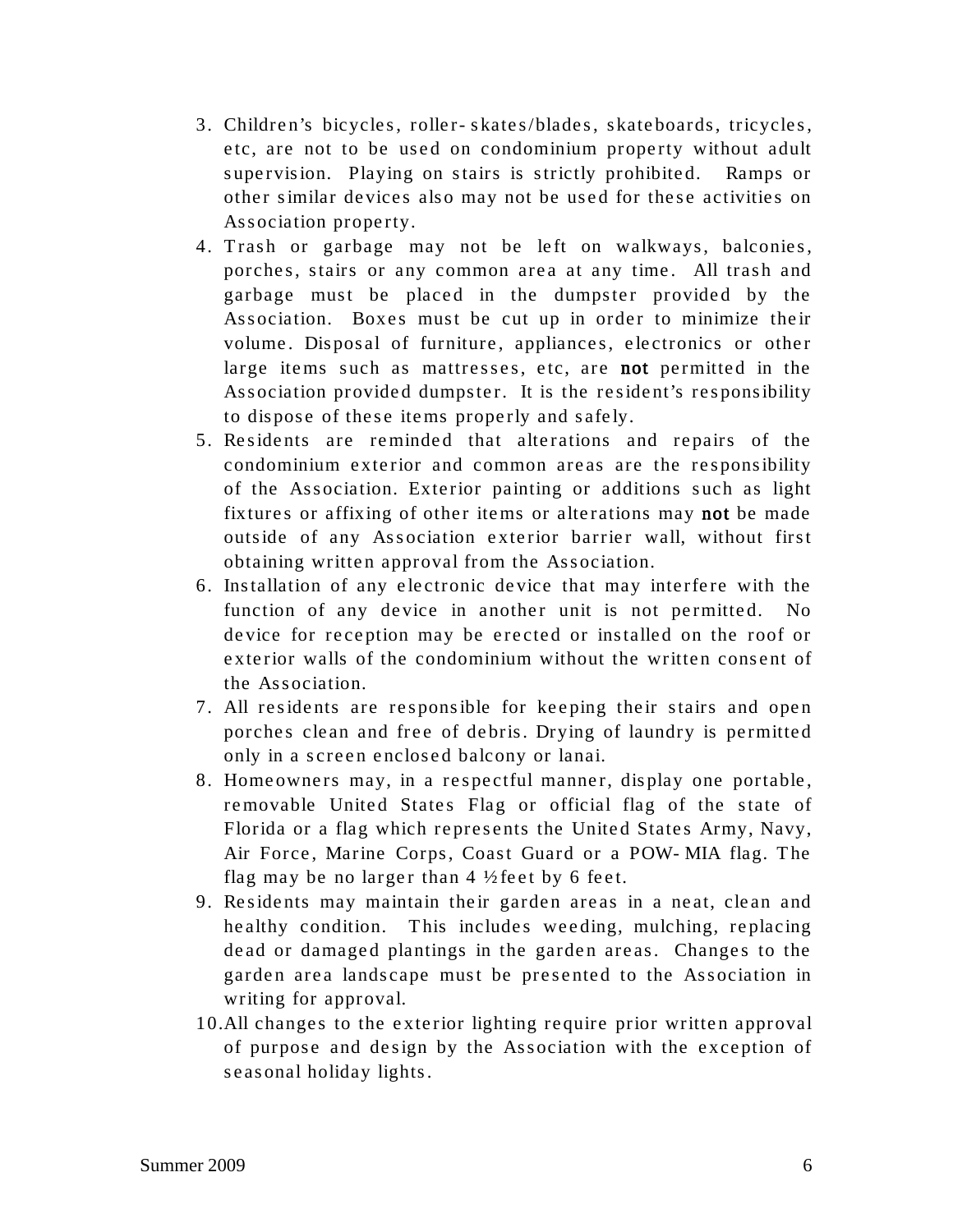- 3. Children's bicycles, roller-skates/blades, skateboards, tricycles, etc, are not to be used on condominium property without adult supervision. Playing on stairs is strictly prohibited. Ramps or other similar devices also may not be used for these activities on Association property.
- 4. Trash or garbage may not be left on walkways, balconies, porches, stairs or any common area at any time. All trash and garbage must be placed in the dumpster provided by the Association. Boxes must be cut up in order to minimize their volume. Disposal of furniture, appliances, electronics or other large items such as mattresses, etc, are not permitted in the Association provided dumpster. It is the resident's responsibility to dispose of these items properly and safely.
- 5. Residents are reminded that alterations and repairs of the condominium exterior and common areas are the responsibility of the Association. Exterior painting or additions such as light fixtures or affixing of other items or alterations may not be made outside of any Ass ociation exterior barrier wall, without first obtaining written approval from the Association.
- 6. Ins tallation of any electronic device that may interfere with the function of any device in another unit is not permitted. No device for reception may be erected or installed on the roof or exterior walls of the condominium without the written consent of the Association.
- 7. All residents are responsible for keeping their stairs and open porches clean and free of debris. Drying of laundry is permitted only in a screen enclosed balcony or lanai.
- 8. Homeowners may, in a respectful manner, display one portable, removable United States Flag or official flag of the state of Florida or a flag which represents the United States Army, Navy, Air Force, Marine Corps, Coast Guard or a POW-MIA flag. The flag may be no larger than  $4\frac{1}{2}$  feet by 6 feet.
- 9. Residents may maintain their garden areas in a neat, clean and healthy condition. This includes weeding, mulching, replacing dead or damaged plantings in the garden areas. Changes to the garden area landscape must be presented to the Association in writing for approval.
- 10.All changes to the exterior lighting require prior written approval of purpose and design by the Association with the exception of seasonal holiday lights.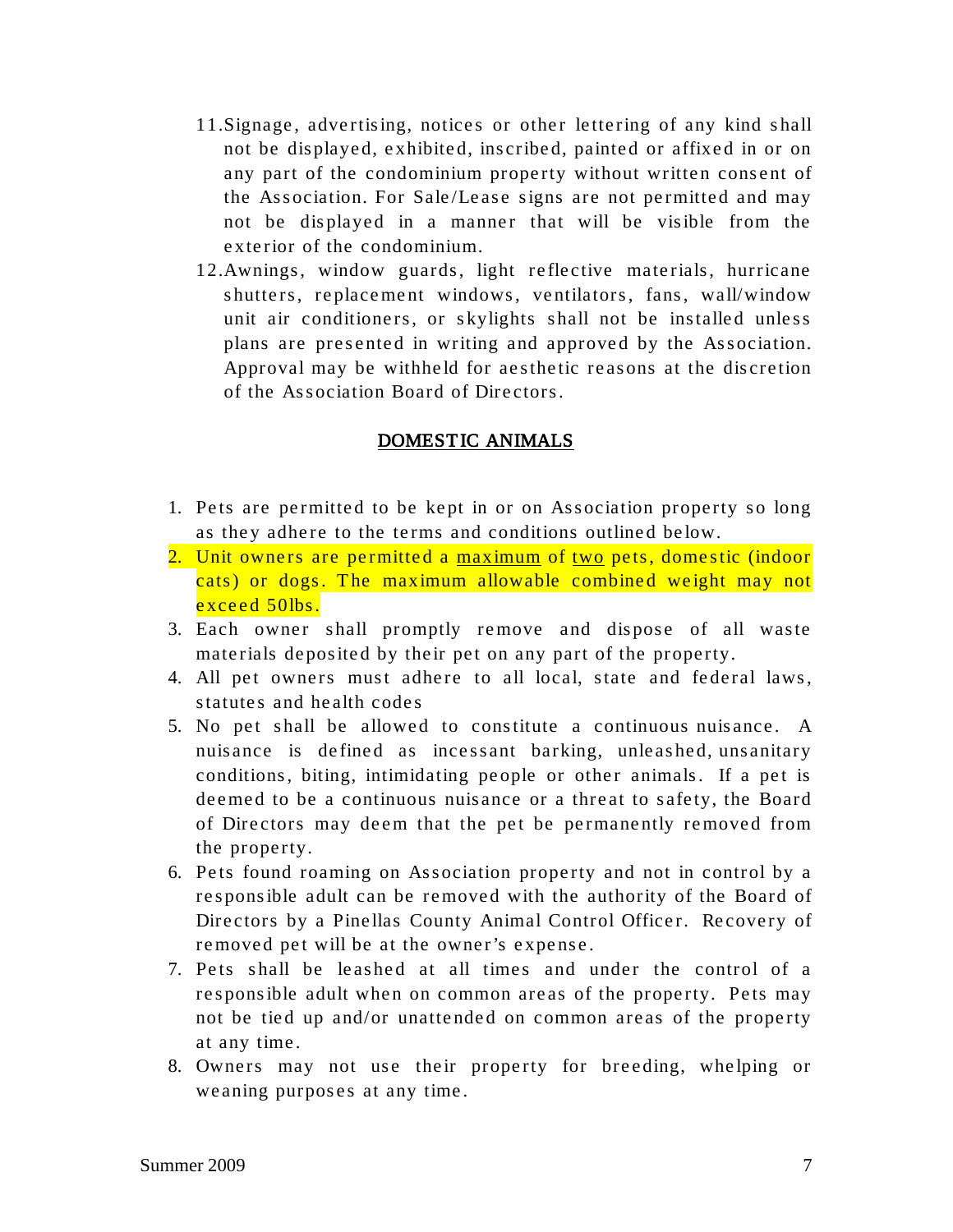- 11. Signage, advertising, notices or other lettering of any kind shall not be displayed, exhibited, inscribed, painted or affixed in or on any part of the condominium property without written consent of the Association. For Sale/Lease signs are not permitted and may not be displayed in a manner that will be visible from the exterior of the condominium.
- 12. Awnings, window guards, light reflective materials, hurricane shutters, replacement windows, ventilators, fans, wall/window unit air conditioners, or skylights shall not be installed unless plans are presented in writing and approved by the Association. Approval may be withheld for aesthetic reasons at the discretion of the Association Board of Directors.

#### DOMESTIC ANIMALS

- 1. Pets are permitted to be kept in or on Association property so long as they adhere to the terms and conditions outlined below.
- 2. Unit owners are permitted a maximum of two pets, domestic (indoor cats) or dogs. The maximum allowable combined weight may not exceed 50lbs.
- 3. Each owner shall promptly remove and dispose of all waste materials deposited by their pet on any part of the property.
- 4. All pet owners must adhere to all local, state and federal laws, statutes and health codes
- 5. No pet shall be allowed to constitute a continuous nuis ance. A nuisance is de fined as incessant barking, unleashed, unsanitary conditions, biting, intimidating people or other animals. If a pet is deemed to be a continuous nuisance or a threat to safety, the Board of Directors may deem that the pet be permanently removed from the property.
- 6. Pets found roaming on Association property and not in control by a res ponsible adult can be removed with the authority of the Board of Directors by a Pinellas County Animal Control Officer. Recovery of removed pet will be at the owner's expense.
- 7. Pets shall be leashed at all times and under the control of a responsible adult when on common areas of the property. Pets may not be tied up and/or unattended on common areas of the property at any time.
- 8. Owners may not use their property for breeding, whelping or weaning purposes at any time.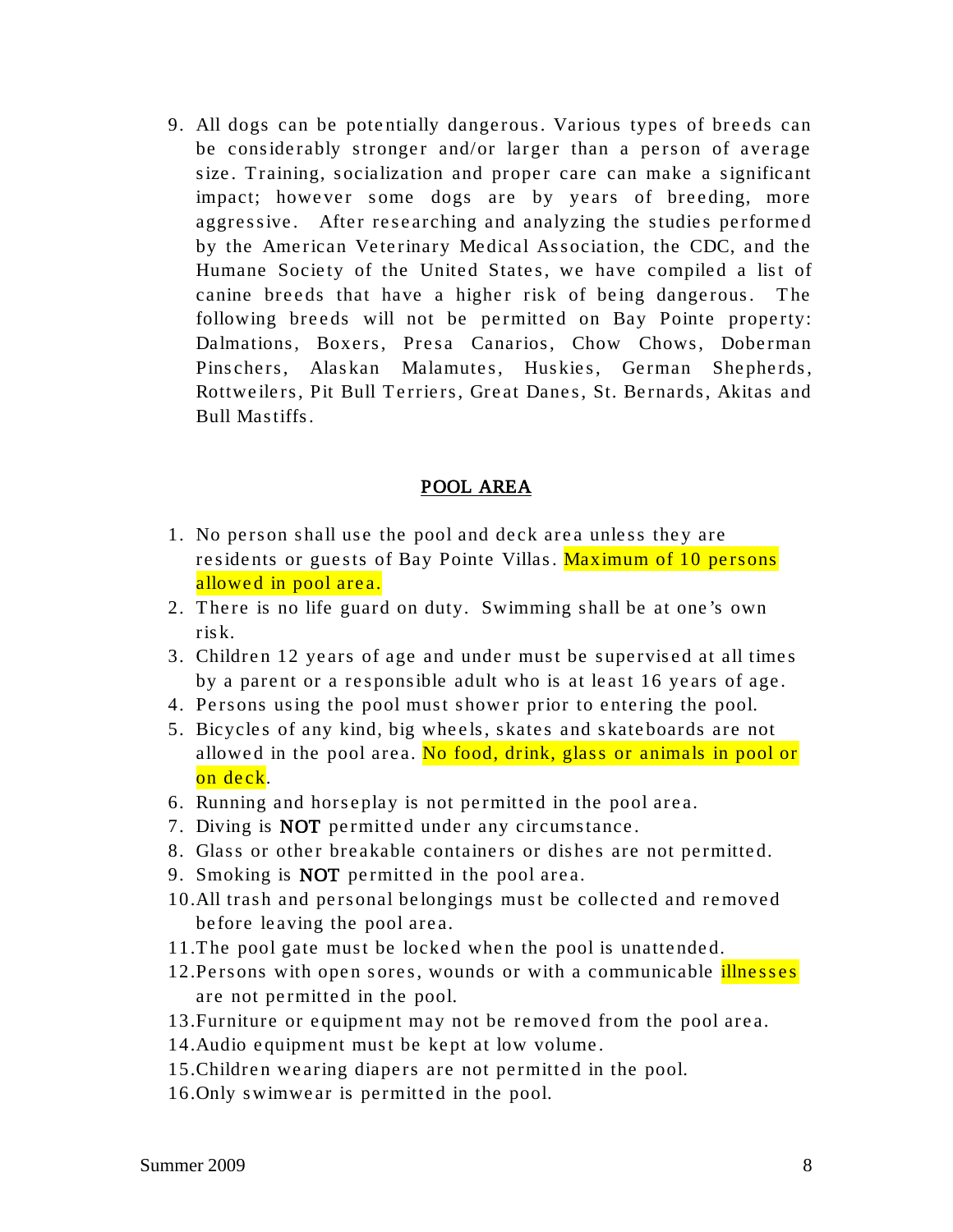9. All dogs can be potentially dangerous. Various types of breeds can be considerably stronger and/or larger than a person of average size. Training, socialization and proper care can make a significant impact; however some dogs are by years of breeding, more aggressive. After researching and analyzing the studies performed by the American Veterinary Medical Association, the CDC, and the Humane Society of the United States, we have compiled a list of canine breeds that have a higher risk of being dangerous. The following breeds will not be permitted on Bay Pointe property: Dalmations, Boxers, Presa Canarios, Chow Chows, Doberman Pinschers, Alaskan Malamutes, Huskies, German Shepherds, Rottweilers, Pit Bull Terriers, Great Danes, St. Bernards, Akitas and Bull Mastiffs.

#### POOL AREA

- 1. No person shall use the pool and deck area unless they are residents or guests of Bay Pointe Villas. Maximum of 10 persons allowed in pool area.
- 2. There is no life guard on duty. Swimming shall be at one's own risk.
- 3. Children 12 years of age and under must be supervised at all times by a parent or a responsible adult who is at least 16 years of age.
- 4. Persons using the pool must shower prior to entering the pool.
- 5. Bicycles of any kind, big wheels, skates and skateboards are not allowed in the pool area. No food, drink, glass or animals in pool or on deck.
- 6. Running and horseplay is not permitted in the pool area.
- 7. Diving is NOT permitted under any circumstance.
- 8. Glass or other breakable containers or dishes are not permitted.
- 9. Smoking is **NOT** permitted in the pool area.
- 10.All trash and personal belongings must be collected and removed before leaving the pool area.
- 11.T he pool gate must be locked when the pool is unattended.
- 12. Persons with open sores, wounds or with a communicable *illnesses* are not permitted in the pool.
- 13.Furniture or equipment may not be removed from the pool are a.
- 14.Audio equipment must be kept at low volume.
- 15.Children wearing diapers are not permitted in the pool.
- 16.Only swimwear is permitted in the pool.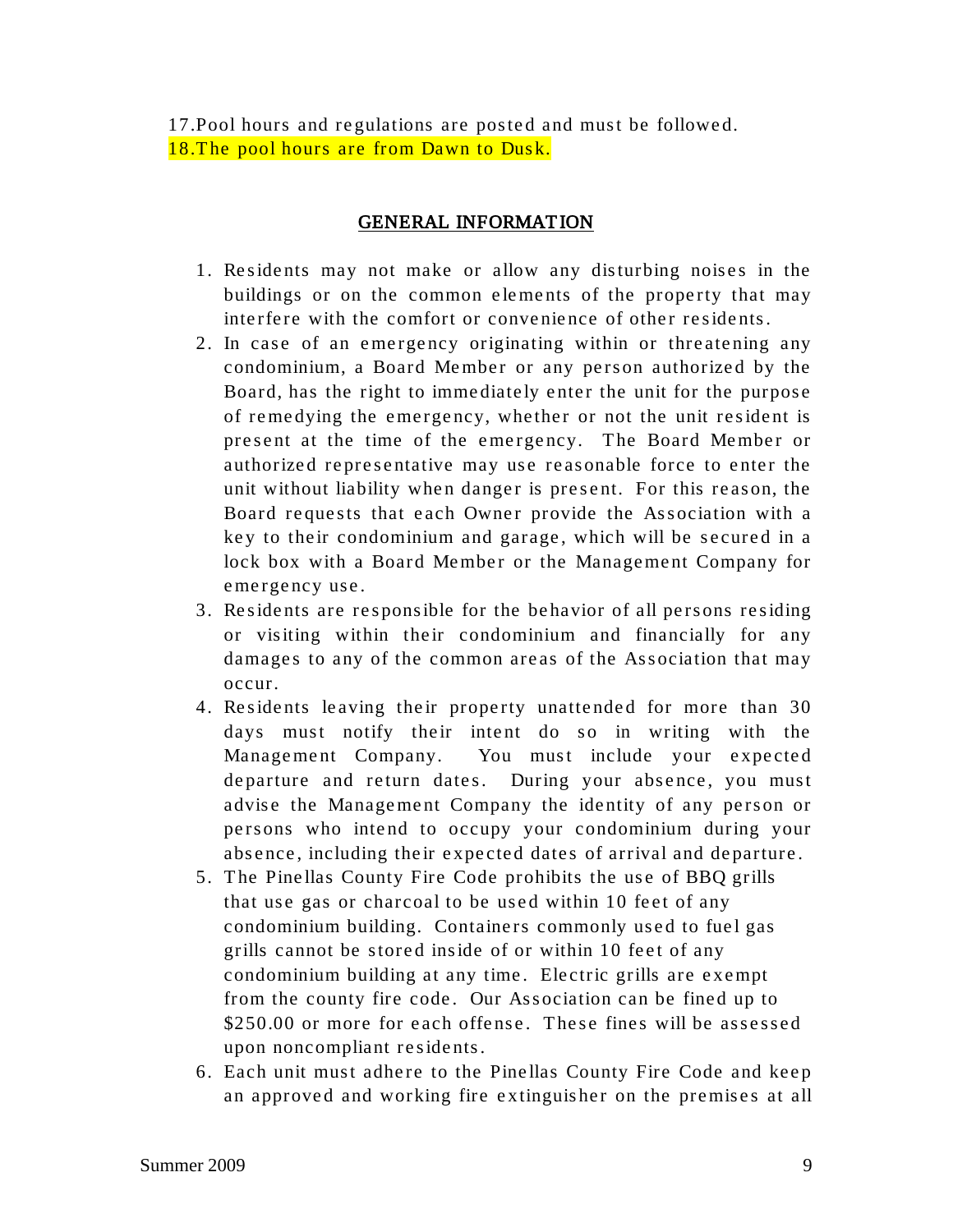17.Pool hours and regulations are posted and must be followed. 18. The pool hours are from Dawn to Dusk.

#### GENERAL INFORMAT ION

- 1. Residents may not make or allow any disturbing noises in the buildings or on the common elements of the property that may interfere with the comfort or convenience of other residents.
- 2. In case of an emergency originating within or threatening any condominium, a Board Member or any person authorized by the Board, has the right to immediately enter the unit for the purpose of remedying the emergency, whether or not the unit resident is present at the time of the emergency. The Board Member or authorized representative may use reasonable force to enter the unit without liability when danger is present. For this reason, the Board requests that each Owner provide the Association with a key to their condominium and garage, which will be secured in a lock box with a Board Member or the Management Company for emergency use.
- 3. Residents are responsible for the behavior of all persons residing or visiting within their condominium and financially for any damages to any of the common areas of the Association that may occur.
- 4. Residents leaving their property unattended for more than 30 days must notify their intent do so in writing with the Management Company. You must include your expected departure and return dates. During your absence, you must advise the Management Company the identity of any person or persons who intend to occupy your condominium during your absence, including their expected dates of arrival and departure.
- 5. The Pinellas County Fire Code prohibits the use of BBQ grills that use gas or charcoal to be used within 10 feet of any condominium building. Containers commonly used to fuel gas grills cannot be stored inside of or within 10 feet of any condominium building at any time. Electric grills are exempt from the county fire code. Our Association can be fined up to \$250.00 or more for each offense. These fines will be assessed upon noncompliant residents.
- 6. Each unit must adhere to the Pinellas County Fire Code and keep an approved and working fire extinguisher on the premises at all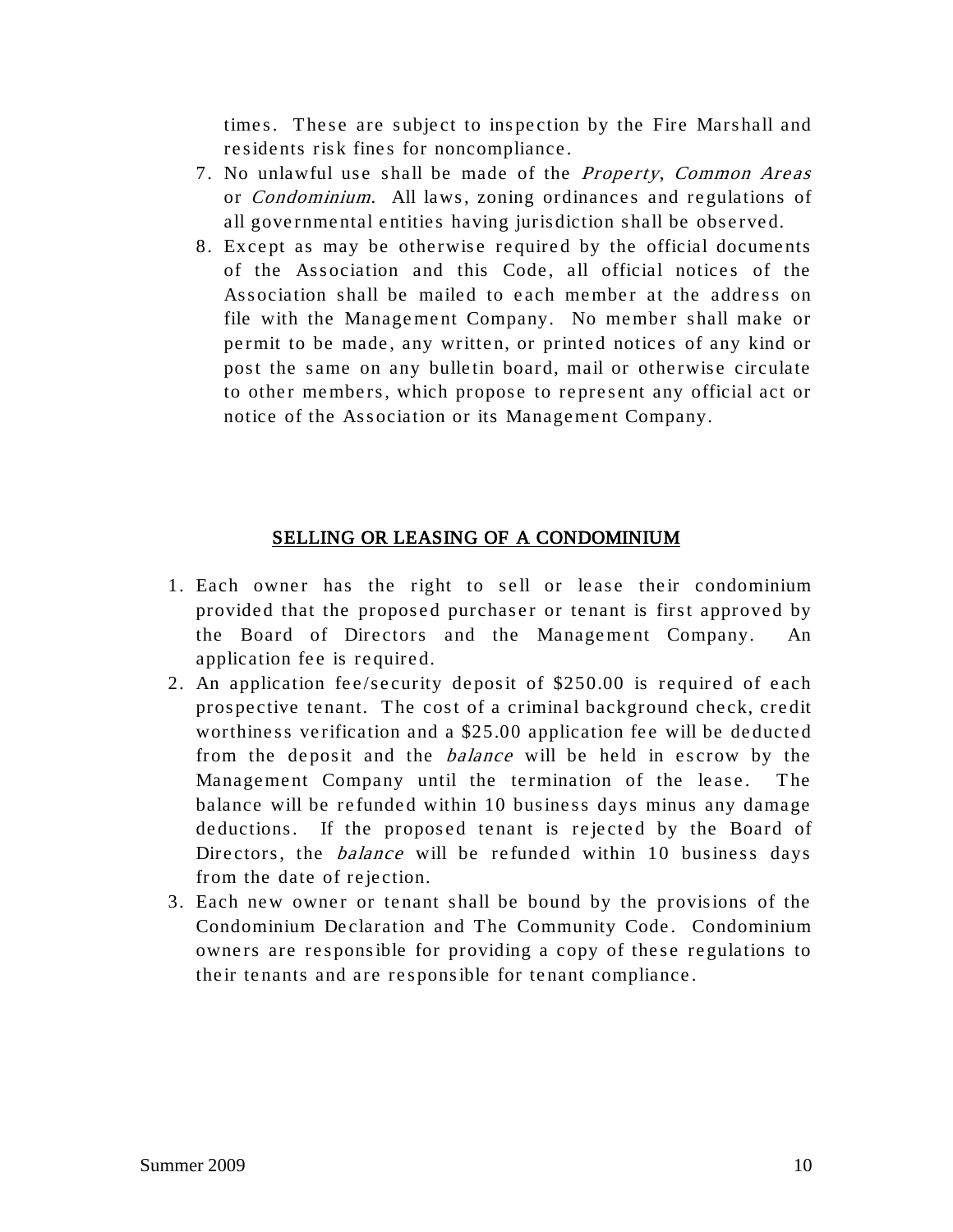times. These are subject to inspection by the Fire Marshall and residents risk fines for noncompliance.

- 7. No unlawful use shall be made of the Property, Common Areas or Condominium. All laws, zoning ordinances and regulations of all governmental entities having jurisdiction shall be observed.
- 8. Except as may be otherwise required by the official documents of the Association and this Code, all official notices of the Association shall be mailed to each member at the address on file with the Management Company. No member shall make or permit to be made, any written, or printed notices of any kind or post the same on any bulletin board, mail or otherwise circulate to other members, which propose to represent any official act or notice of the Association or its Management Company.

#### SELLING OR LEASING OF A CONDOMINIUM

- 1. Each owner has the right to sell or lease their condominium provided that the proposed purchaser or tenant is first approved by the Board of Directors and the Management Company. An application fee is required.
- 2. An application fee/security deposit of \$250.00 is required of each prospective tenant. The cost of a criminal background check, credit worthiness verification and a \$25.00 application fee will be deducted from the deposit and the *balance* will be held in escrow by the Management Company until the termination of the lease. The balance will be refunded within 10 business days minus any damage deductions. If the proposed tenant is rejected by the Board of Directors, the *balance* will be refunded within 10 business days from the date of rejection.
- 3. Each new owner or tenant shall be bound by the provisions of the Condominium Declaration and The Community Code. Condominium owners are responsible for providing a copy of these regulations to their tenants and are responsible for tenant compliance.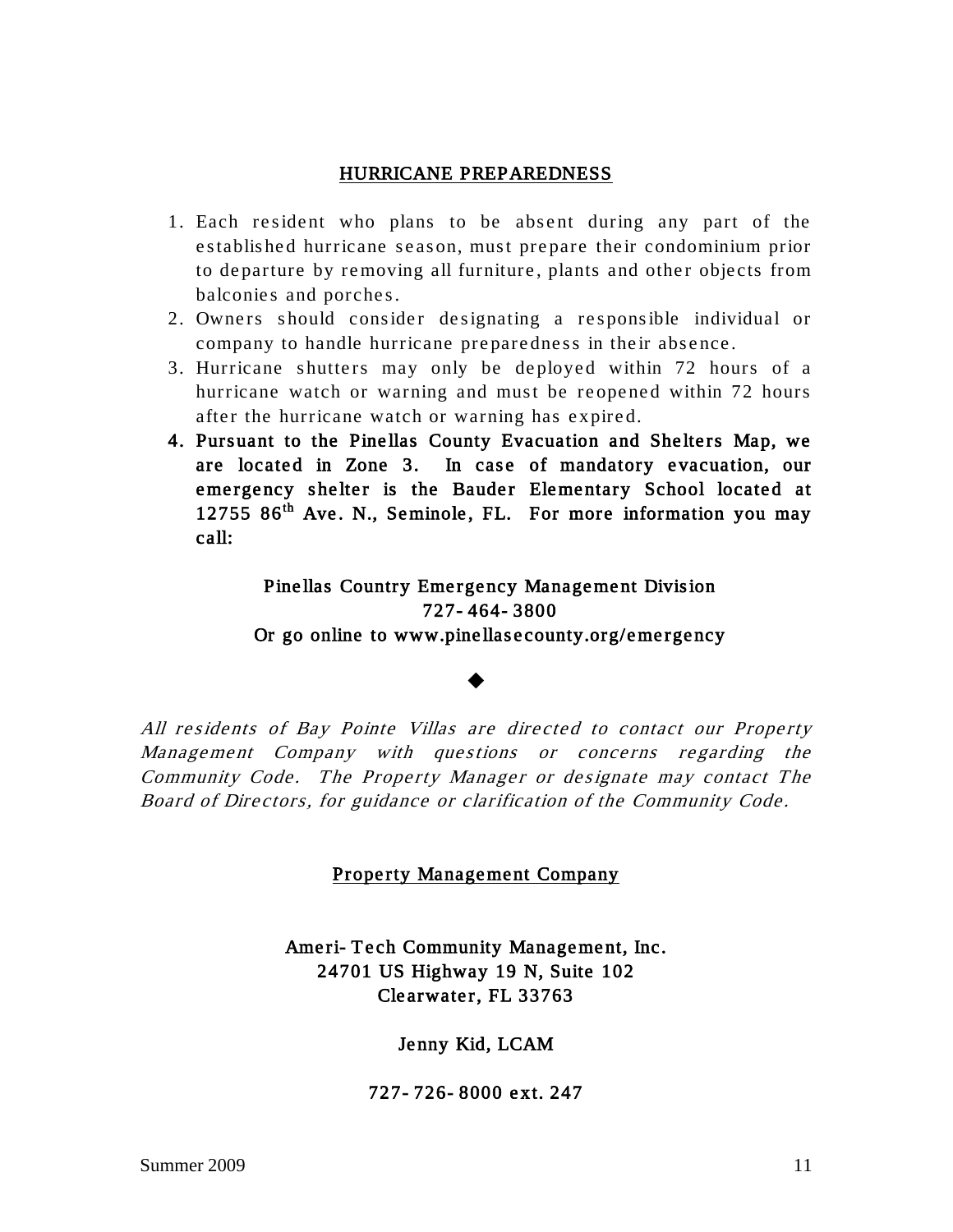#### HURRICANE PREPAREDNESS

- 1. Each resident who plans to be absent during any part of the established hurricane season, must prepare their condominium prior to departure by removing all furniture, plants and other objects from balconies and porches.
- 2. Owners should consider designating a re sponsible individual or company to handle hurricane preparedness in their absence.
- 3. Hurricane shutters may only be deployed within 72 hours of a hurricane watch or warning and must be reopened within 72 hours after the hurricane watch or warning has expired.
- 4. Pursuant to the Pinellas County Evacuation and Shelters Map, we are located in Zone 3. In case of mandatory evacuation, our emergency shelter is the Bauder Elementary School located at  $1275586<sup>th</sup>$  Ave. N., Seminole, FL. For more information you may call:

Pine llas Country Emergency Management Division 727- 464- 3800 Or go online to www.pinellasecounty.org/emergency

#### $\blacklozenge$

All residents of Bay Pointe Villas are directed to contact our Property Management Company with questions or concerns regarding the Community Code. The Property Manager or designate may contact The Board of Dire ctors, for guidance or clarification of the Community Code.

#### Property Management Company

Ameri- Tech Community Management, Inc. 24701 US Highway 19 N, Suite 102 Clearwater, FL 33763

Jenny Kid, LCAM

727- 726- 8000 ext. 247